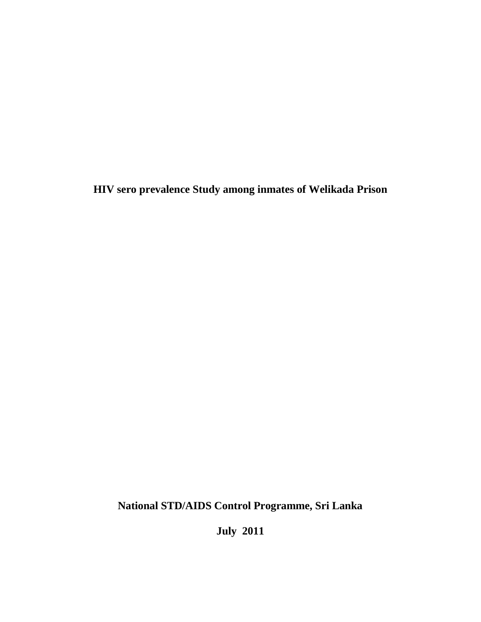**HIV sero prevalence Study among inmates of Welikada Prison**

**National STD/AIDS Control Programme, Sri Lanka**

**July 2011**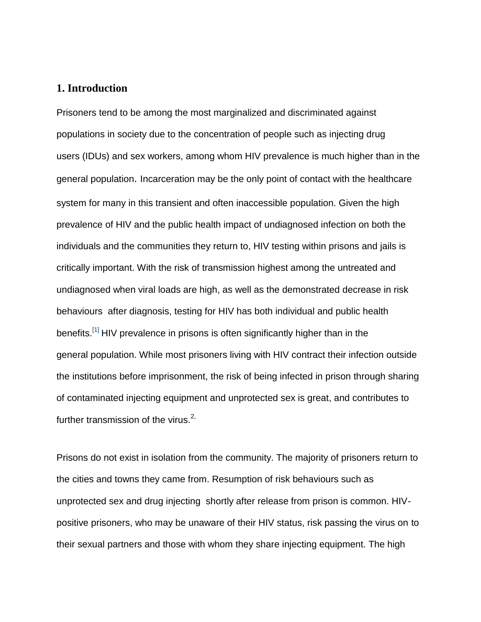### **1. Introduction**

Prisoners tend to be among the most marginalized and discriminated against populations in society due to the concentration of people such as injecting drug users (IDUs) and sex workers, among whom HIV prevalence is much higher than in the general population. Incarceration may be the only point of contact with the healthcare system for many in this transient and often inaccessible population. Given the high prevalence of HIV and the public health impact of undiagnosed infection on both the individuals and the communities they return to, HIV testing within prisons and jails is critically important. With the risk of transmission highest among the untreated and undiagnosed when viral loads are high, as well as the demonstrated decrease in risk behaviours after diagnosis, testing for HIV has both individual and public health benefits.<sup>[\[1\]](javascript:newshowcontent()</sup> HIV prevalence in prisons is often significantly higher than in the general population. While most prisoners living with HIV contract their infection outside the institutions before imprisonment, the risk of being infected in prison through sharing of contaminated injecting equipment and unprotected sex is great, and contributes to further transmission of the virus. $2$ ,

Prisons do not exist in isolation from the community. The majority of prisoners return to the cities and towns they came from. Resumption of risk behaviours such as unprotected sex and drug injecting shortly after release from prison is common. HIVpositive prisoners, who may be unaware of their HIV status, risk passing the virus on to their sexual partners and those with whom they share injecting equipment. The high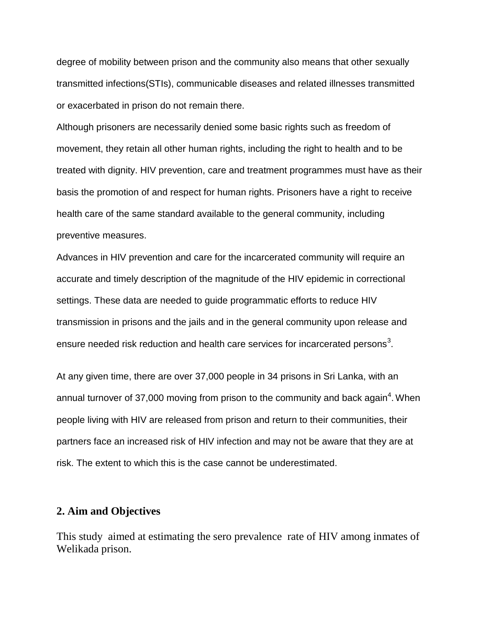degree of mobility between prison and the community also means that other sexually transmitted infections(STIs), communicable diseases and related illnesses transmitted or exacerbated in prison do not remain there.

Although prisoners are necessarily denied some basic rights such as freedom of movement, they retain all other human rights, including the right to health and to be treated with dignity. HIV prevention, care and treatment programmes must have as their basis the promotion of and respect for human rights. Prisoners have a right to receive health care of the same standard available to the general community, including preventive measures.

Advances in HIV prevention and care for the incarcerated community will require an accurate and timely description of the magnitude of the HIV epidemic in correctional settings. These data are needed to guide programmatic efforts to reduce HIV transmission in prisons and the jails and in the general community upon release and ensure needed risk reduction and health care services for incarcerated persons<sup>3</sup>.

At any given time, there are over 37,000 people in 34 prisons in Sri Lanka, with an annual turnover of 37,000 moving from prison to the community and back again<sup>4</sup>. When people living with HIV are released from prison and return to their communities, their partners face an increased risk of HIV infection and may not be aware that they are at risk. The extent to which this is the case cannot be underestimated.

## **2. Aim and Objectives**

This study aimed at estimating the sero prevalence rate of HIV among inmates of Welikada prison.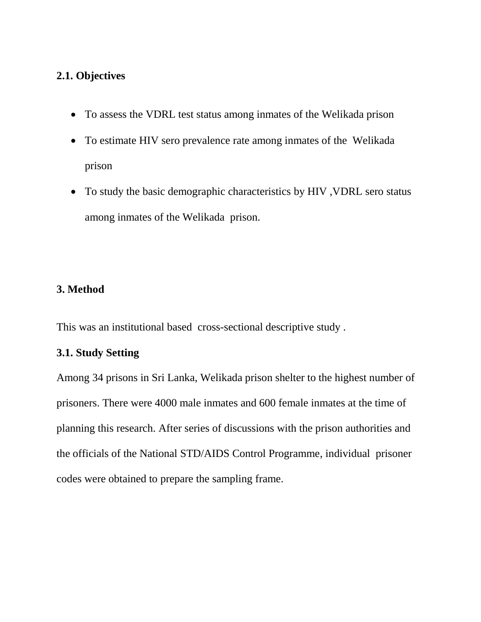# **2.1. Objectives**

- To assess the VDRL test status among inmates of the Welikada prison
- To estimate HIV sero prevalence rate among inmates of the Welikada prison
- To study the basic demographic characteristics by HIV ,VDRL sero status among inmates of the Welikada prison.

# **3. Method**

This was an institutional based cross-sectional descriptive study .

# **3.1. Study Setting**

Among 34 prisons in Sri Lanka, Welikada prison shelter to the highest number of prisoners. There were 4000 male inmates and 600 female inmates at the time of planning this research. After series of discussions with the prison authorities and the officials of the National STD/AIDS Control Programme, individual prisoner codes were obtained to prepare the sampling frame.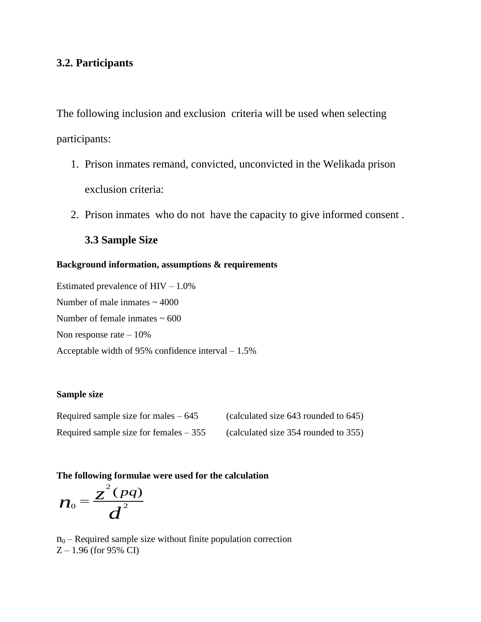## **3.2. Participants**

The following inclusion and exclusion criteria will be used when selecting participants:

- 1. Prison inmates remand, convicted, unconvicted in the Welikada prison exclusion criteria:
- 2. Prison inmates who do not have the capacity to give informed consent .

## **3.3 Sample Size**

### **Background information, assumptions & requirements**

Estimated prevalence of  $HIV - 1.0\%$ Number of male inmates  $\sim$  4000 Number of female inmates  $\sim 600$ Non response rate  $-10\%$ Acceptable width of 95% confidence interval – 1.5%

### **Sample size**

| Required sample size for males $-645$   | (calculated size 643 rounded to 645) |
|-----------------------------------------|--------------------------------------|
| Required sample size for females $-355$ | (calculated size 354 rounded to 355) |

#### **The following formulae were used for the calculation**

$$
n_{0}=\frac{z^{2}(pq)}{d^{2}}
$$

 $n_0$  – Required sample size without finite population correction Z – 1.96 (for 95% CI)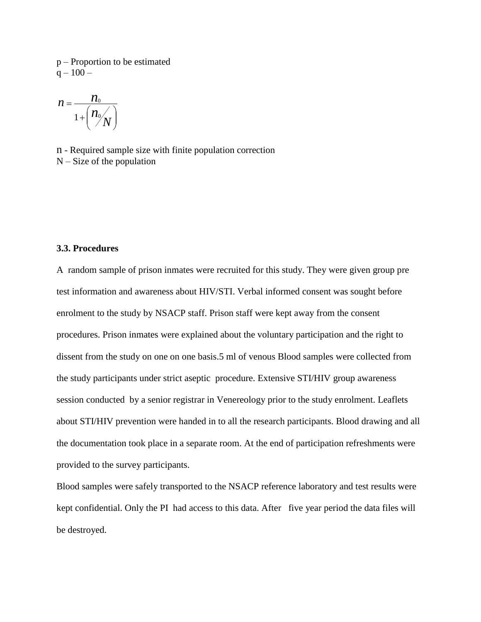p – Proportion to be estimated  $q - 100 -$ 

$$
n = \frac{n_0}{1 + \left(\frac{n_0}{N}\right)}
$$

n - Required sample size with finite population correction  $N - Size$  of the population

#### **3.3. Procedures**

A random sample of prison inmates were recruited for this study. They were given group pre test information and awareness about HIV/STI. Verbal informed consent was sought before enrolment to the study by NSACP staff. Prison staff were kept away from the consent procedures. Prison inmates were explained about the voluntary participation and the right to dissent from the study on one on one basis.5 ml of venous Blood samples were collected from the study participants under strict aseptic procedure. Extensive STI/HIV group awareness session conducted by a senior registrar in Venereology prior to the study enrolment. Leaflets about STI/HIV prevention were handed in to all the research participants. Blood drawing and all the documentation took place in a separate room. At the end of participation refreshments were provided to the survey participants.

Blood samples were safely transported to the NSACP reference laboratory and test results were kept confidential. Only the PI had access to this data. After five year period the data files will be destroyed.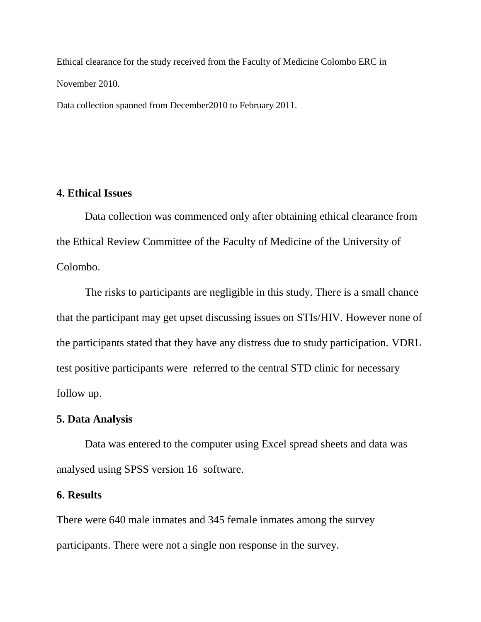Ethical clearance for the study received from the Faculty of Medicine Colombo ERC in November 2010.

Data collection spanned from December2010 to February 2011.

## **4. Ethical Issues**

Data collection was commenced only after obtaining ethical clearance from the Ethical Review Committee of the Faculty of Medicine of the University of Colombo.

The risks to participants are negligible in this study. There is a small chance that the participant may get upset discussing issues on STIs/HIV. However none of the participants stated that they have any distress due to study participation. VDRL test positive participants were referred to the central STD clinic for necessary follow up.

### **5. Data Analysis**

Data was entered to the computer using Excel spread sheets and data was analysed using SPSS version 16 software.

### **6. Results**

There were 640 male inmates and 345 female inmates among the survey participants. There were not a single non response in the survey.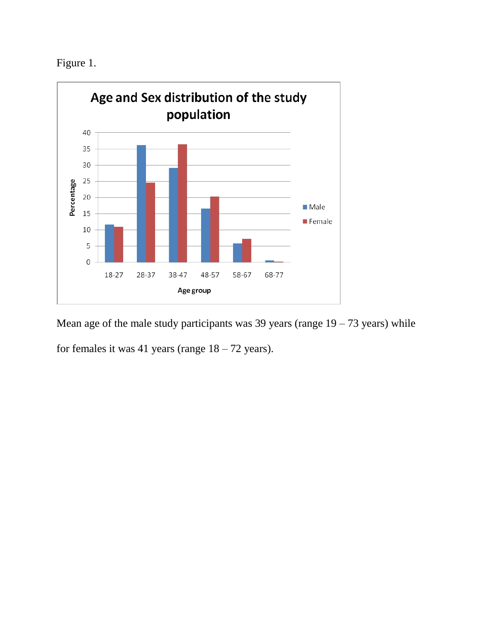Figure 1.



Mean age of the male study participants was 39 years (range  $19 - 73$  years) while for females it was 41 years (range  $18 - 72$  years).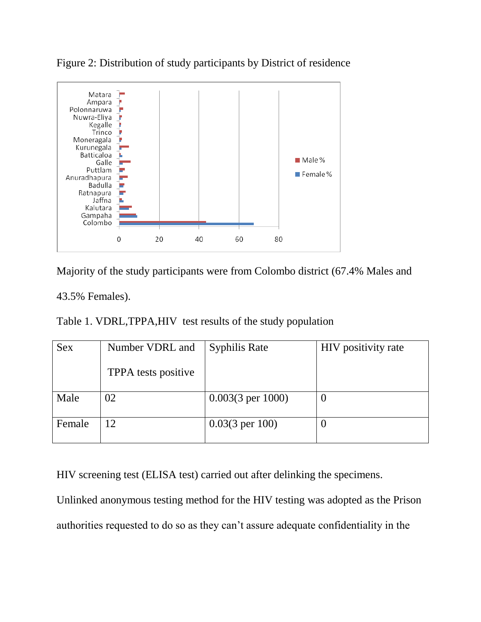

Figure 2: Distribution of study participants by District of residence



43.5% Females).

Table 1. VDRL,TPPA,HIV test results of the study population

| <b>Sex</b> | Number VDRL and     | <b>Syphilis Rate</b>         | HIV positivity rate |
|------------|---------------------|------------------------------|---------------------|
|            | TPPA tests positive |                              |                     |
| Male       | 02.                 | $0.003(3 \text{ per } 1000)$ | $\theta$            |
| Female     | 12                  | $0.03(3 \text{ per } 100)$   | U                   |

HIV screening test (ELISA test) carried out after delinking the specimens.

Unlinked anonymous testing method for the HIV testing was adopted as the Prison authorities requested to do so as they can't assure adequate confidentiality in the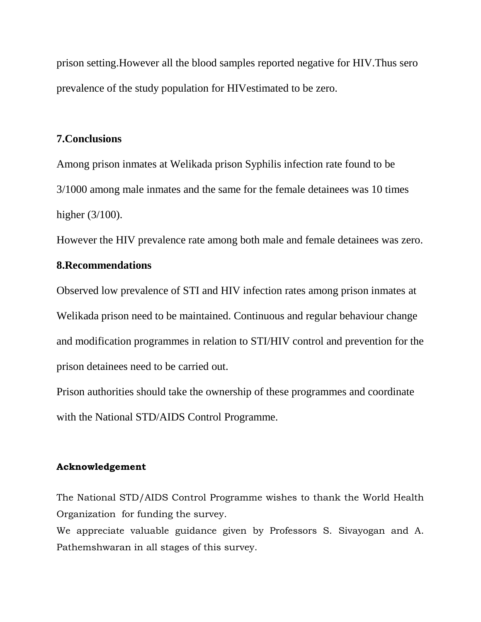prison setting.However all the blood samples reported negative for HIV.Thus sero prevalence of the study population for HIVestimated to be zero.

## **7.Conclusions**

Among prison inmates at Welikada prison Syphilis infection rate found to be 3/1000 among male inmates and the same for the female detainees was 10 times higher (3/100).

However the HIV prevalence rate among both male and female detainees was zero.

## **8.Recommendations**

Observed low prevalence of STI and HIV infection rates among prison inmates at Welikada prison need to be maintained. Continuous and regular behaviour change and modification programmes in relation to STI/HIV control and prevention for the prison detainees need to be carried out.

Prison authorities should take the ownership of these programmes and coordinate with the National STD/AIDS Control Programme.

### **Acknowledgement**

The National STD/AIDS Control Programme wishes to thank the World Health Organization for funding the survey.

We appreciate valuable guidance given by Professors S. Sivayogan and A. Pathemshwaran in all stages of this survey.